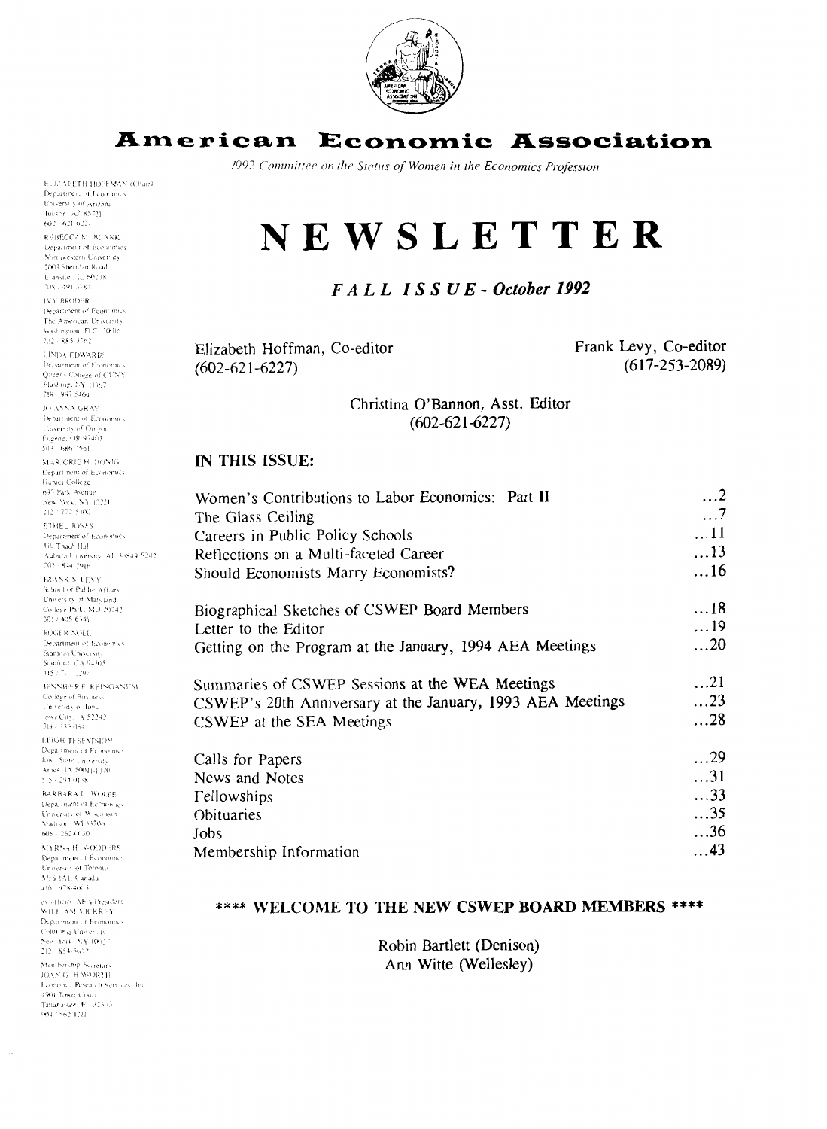

# **American Economic Association**

1992 Committee on the Status of Women in the Economics Profession

**ELIZARETH HOFFMAN (Chair)** Department of Economics **Leparokit of Economy**<br>Tucson, A2 85721  $602 - 621 - 6227$ 

REBECCA M. BLANK **Department of Economics** .<br>lorthwestern University 2003 Sheridan Road Exansum II 60208 2087.491.3764

**IVY RRODER** Department of Economics The American University Washington D.C. 20016

**LINDA EDWARDS** Department of Economics Ourens College of CUNY Flushing, NY 11367 718 - 997 5464

JO ANNA GRAY Department of Economics University of Oregon Eucene: OR 97403  $503 - 686 - 3561$ 

MARJORIE H. HONIG Department of Economics Humer College 695 Park Avenue New York, NY 10221  $212 + 772 + 5400$ **ETHEL JONES** Department of Economics 110 Thach Hall Auburn University, AL 36849-5242<br>205 - 844-2916 FRANK S. LEVY School of Public Affairs University of Maryland College Park, MD 20242 301 / 405-6341 ROGER NOLL Department of Economics Stanford Universit

itanford : CA 94305 .<br>15 / 7 . - 2297 (~o1:ci.r 1.1 **Rllr,,r.>i** 

University of Iowa<br>Jowa City, 14 52242 I FIGH TESEATSION

Department of Economics .<br>wa State University Ames: 1A 50011-1070 515 / 294 0138

**BARBARA L. WOLFE** Department of Economics University of Wisconson Madison, W1 53706 608 / 262 (0.30)

**MYRNAH WOODERS** Department of Economics University of Toronto M5S EAT, Canada  $416.1978 - 4603$ 

ex officio. AFA President WILLIAM VICKREY Department of Economics Columbia University Sew York, NY 10027 212 854-3677

Membership Secretari JOAN G. H WORTH Economic Research Services. Inc 4901 Tower Court Tallahassee, FL 32303 904.7.562-1211

**NEWSLETTER** 

## *FA L L IS* **S U** *E* - *October 1992*

Elizabeth Hoffman, Co-editor  $(602 - 621 - 6227)$ 

Frank Levy, Co-editor (6 17-253-2089)

Christina O'Bannon, Asst. Editor  $(602 - 621 - 6227)$ 

#### **IN THIS ISSUE:**

| 95 Park Avenue<br>iew York, NY 10221<br>$12 - 772 - 5400$                             | Women's Contributions to Labor Economics: Part II          | $\dots$ 2<br>$\dots$ 7   |
|---------------------------------------------------------------------------------------|------------------------------------------------------------|--------------------------|
| THEL JONES<br>beparament of Economics<br>10 Thach Hall                                | The Glass Ceiling<br>Careers in Public Policy Schools      | $\dots$ 11               |
| Auburn University, AL 36849-5242<br>$05 - 844 - 2916$                                 | Reflections on a Multi-faceted Career                      | $\dots$ 13<br>$\dots$ 16 |
| RANK S. LEVY<br>ichool of Public Affairs<br>Iniversity of Maryland                    | Should Economists Marry Economists?                        |                          |
| Jollege Park, MD 20742<br>01/405-6341                                                 | Biographical Sketches of CSWEP Board Members               | $\dots$ 18               |
| OGER NOLL                                                                             | Letter to the Editor                                       | $\dots$ 19               |
| Separtment of Economics<br>itanioid Universit.<br>itanford: CA 94305<br>$45/7 + 2297$ | Getting on the Program at the January, 1994 AEA Meetings   | $\dots$ 20               |
| ENNIFER F. REINGANUM                                                                  | Summaries of CSWEP Sessions at the WEA Meetings            | $\dots$ 21               |
| offege of Business<br>awersity of lowar                                               | CSWEP's 20th Anniversary at the January, 1993 AEA Meetings | $\dots$ 23               |
| wa City, 14, 52242.<br>$19 + 3350541$                                                 | CSWEP at the SEA Meetings                                  | $\dots$ 28               |
| <b>EIGH TESEATSION</b><br><b>Separtment of Economics</b>                              |                                                            | $\dots$ 29               |
| wa State University<br>anes: 1A-50011-1070                                            | Calls for Papers                                           |                          |
| 15 / 294 0138                                                                         | News and Notes                                             | $\dots$ 31               |
| ARBARA L. WOLFE<br>lepartment of Economics                                            | Fellowships                                                | $\ldots$ 33              |
| moersity of Wisconsin                                                                 | Obituaries                                                 | $\dots$ 35               |
| tadison, W1.53706<br>08 / 262 / 030                                                   | Jobs                                                       | $\ldots$ 36              |
| <b>IYRNA H. WOODERS</b><br>lepartment of Economics                                    | Membership Information                                     | $\dots$ 43               |
|                                                                                       |                                                            |                          |

#### \*\*\*\* WELCOME TO THE NEW CSWEP BOARD MEMBERS \*\*\*\*

Robin Bartlett (Denison) Ann Witte (Wellesley)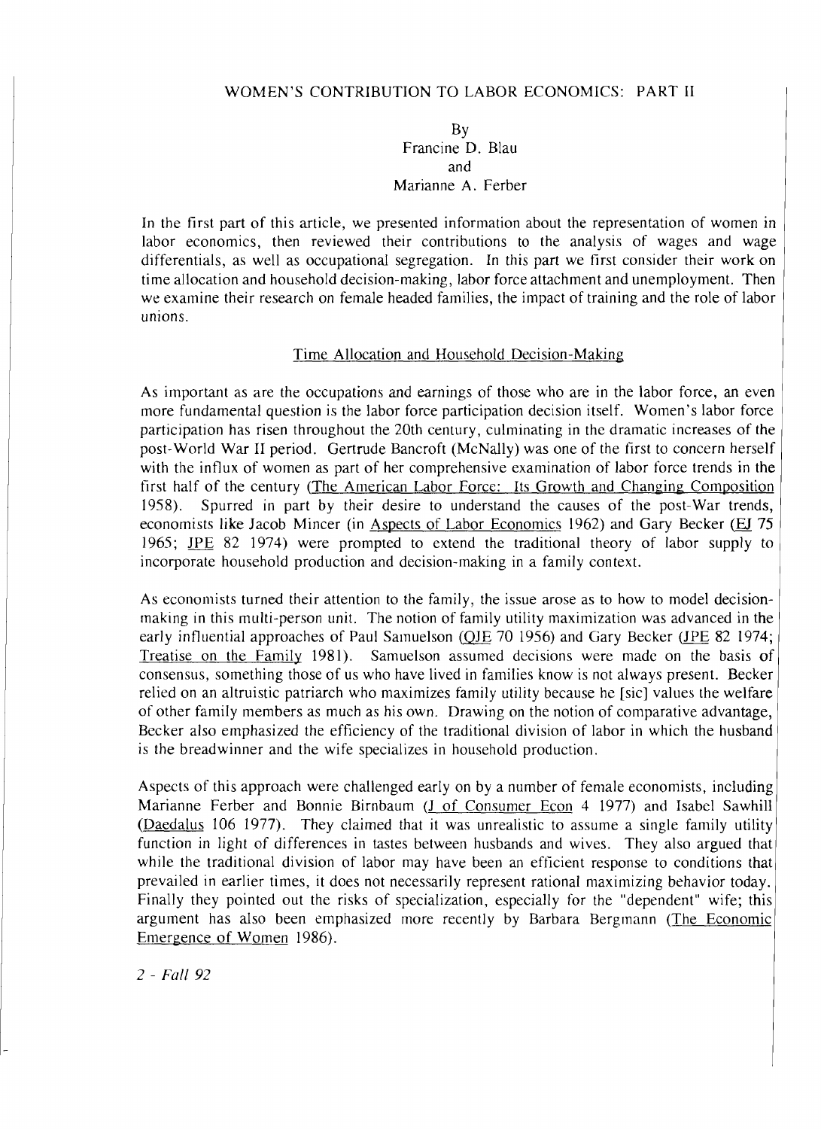#### WOMEN'S CONTRIBUTION TO LABOR ECONOMICS: PART I1

#### BY Francine D. Blau and Marianne A. Ferber

In the first part of this article, we presented information about the representation of women in labor economics, then reviewed their contributions to the analysis of wages and wage differentials, as well as occupational segregation. In this part we first consider their work on time allocation and household decision-making, labor force attachment and unemployment. Then we examine their research on female headed families, the impact of training and the role of labor unions.

#### Time Allocation and Household Decision-Making

As important as are the occupations and earnings of those who are in the labor force, an even more fundamental question is the labor force participation decision itself. Women's labor force participation has risen throughout the 20th century, culminating in the dramatic increases of the with the influx of women as part of her comprehensive examination of labor force trends in the first half of the century (The American Labor Force: Its Growth and Changing Composition 1958). Spurred in part by their desire to understand the causes of the post-War trends economists like Jacob Mincer (in Aspects of Labor Economics 1962) and Gary Becker (EJ 75 1965; <u>JPE</u> 82 1974) were prompted to extend the traditional theory of labor supply to incorporate household production and decision-making in a family context. post-World War I1 period. Gertrude Bancroft (McNally) was one of the first to concern herself

As economists turned their attention to the family, the issue arose as to how to model decision making in this multi-person unit. The notion of family utility maximization was advanced in thc early influential approaches of Paul Samuelson (QJE 70 1956) and Gary Becker ( $IPE$  82 1974; Treatise on the Family 1981). Samuelson assumed decisions were made on the basis of consensus, something those of us who have lived in families know is not always present. Becke relied on an altruistic patriarch who maximizes family utility because he [sic] values the welfarc of other family members as much as his own. Drawing on the notion of comparative advantage Becker also emphasized the efficiency of the traditional division of labor in which the husbanc is the breadwinner and the wife specializes in household production.

Aspects of this approach were challenged early on by a number of female economists, including Marianne Ferber and Bonnie Birnbaum (J of Consumer Econ 4 1977) and Isabel Sawhil (Daedalus 106 1977). They claimed that it was unrealistic to assume a single family utility function in light of differences in tastes between husbands and wives. They also argued that while the traditional division of labor may have been an efficient response to conditions that prevailed in earlier times, it does not necessarily represent rational maximizing behavior today. Finally they pointed out the risks of specialization, especially for the "dependent" wife; this argument has also been emphasized more recently by Barbara Bergmann (The Economic Emergence of Women 1986).

2 - Fall 92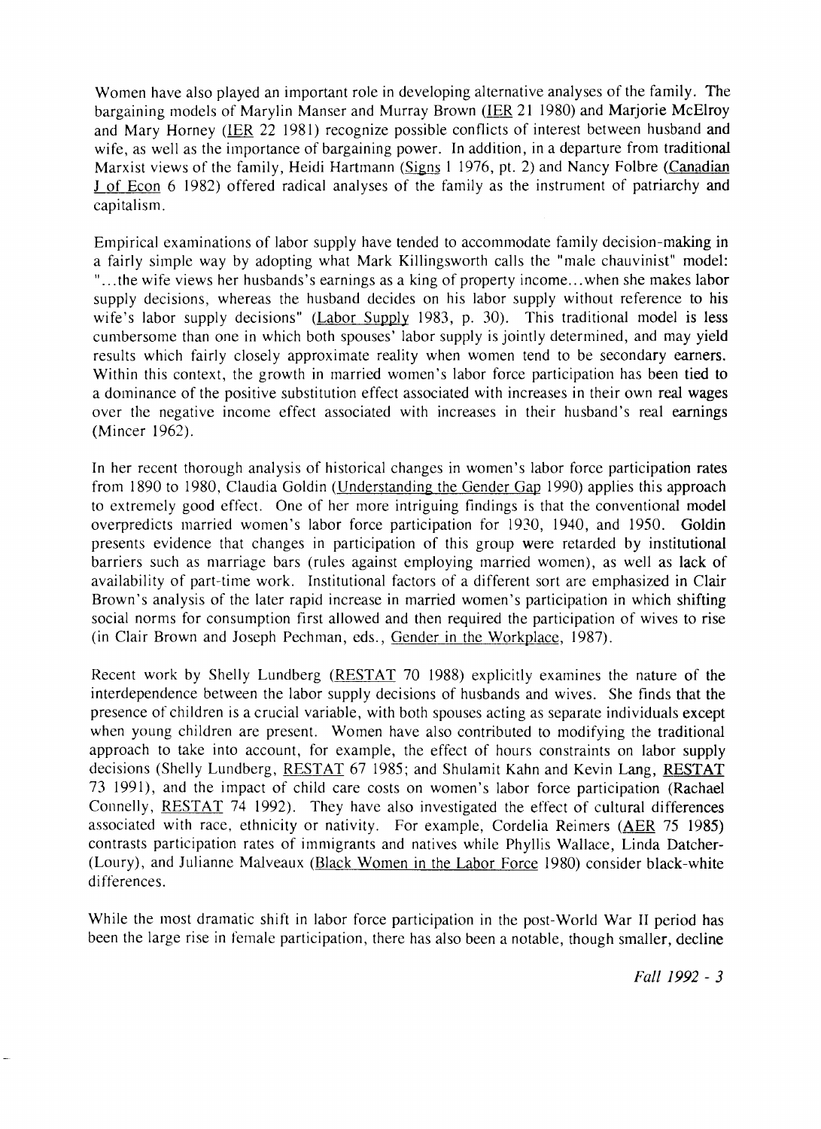Women have also played an important role in developing alternative analyses of the family. The bargaining models of Marylin Manser and Murray Brown (IER 21 1980) and Marjorie McElroy and Mary Horney (IER 22 1981) recognize possible conflicts of interest between husband and wife, as well as the importance of bargaining power. In addition, in a departure from traditional Marxist views of the family, Heidi Hartmann (Signs 1 1976, pt. 2) and Nancy Folbre (Canadian J of Econ 6 1982) offered radical analyses of the family as the instrument of patriarchy and capitalism.

Empirical examinations of labor supply have tended to accommodate family decision-making in a fairly simple way by adopting what Mark Killingsworth calls the "male chauvinist" model: "...the wife views her husbands's earnings as a king of property income...when she makes labor supply decisions, whereas the husband decides on his labor supply without reference to his wife's labor supply decisions" (Labor Supply 1983, p. 30). This traditional model is less cunlbersome than one in which both spouses' labor supply is jointly determined, and may yield results which fairly closely approximate reality when women tend to be secondary earners. Within this context, the growth in married women's labor force participation has been tied to a dominance of the positive substitution effect associated with increases in their own real wages over the negative income effect associated with increases in their husband's real earnings (Mincer 1962).

In her recent thorough analysis of historical changes in women's labor force participation rates from 1890 to 1980, Claudia Goldin (Understanding the Gender Gap 1990) applies this approach to extremely good effect. One of her more intriguing findings is that the conventional model overpredicts married women's labor force participation for 1930, 1940, and 1950. Goldin presents evidence that changes in participation of this group were retarded by institutional barriers such as marriage bars (rules against employing married women), as well as lack of availability of part-time work. Institutional factors of a different sort are emphasized in Clair Brown's analysis of the later rapid increase in married women's participation in which shifting social norms for consumption first allowed and then required the participation of wives to rise (in Clair Brown and Joseph Pechrnan, eds., Gender in the Workplace, 1987).

Recent work by Shelly Lundberg (RESTAT 70 1988) explicitly examines the nature of the interdependence between the labor supply decisions of husbands and wives. She finds that the presence of children is a crucial variable, with both spouses acting as separate individuals except when young children are present. Women have also contributed to modifying the traditional approach to take into account, for example, the effect of hours constraints on labor supply decisions (Shelly Lundberg, RESTAT 67 1985; and Shulamit Kahn and Kevin Lang, RESTAT 73 1991), and the impact of child care costs on women's labor force participation (Rachael Connelly, RESTAT 74 1992). They have also investigated the effect of cultural differences associated with race, ethnicity or nativity. For example, Cordelia Reimers (AER 75 1985) contrasts participation rates of immigrants and natives while Phyllis Wallace, Linda Datcher- (Loury), and Julianne Malveaux (Black Women in the Labor Force 1980) consider black-white differences.

While the most dramatic shift in labor force participation in the post-World War I1 period has been the large rise in female participation, there has also been a notable, though smaller, decline

*Fall 1992* - **3**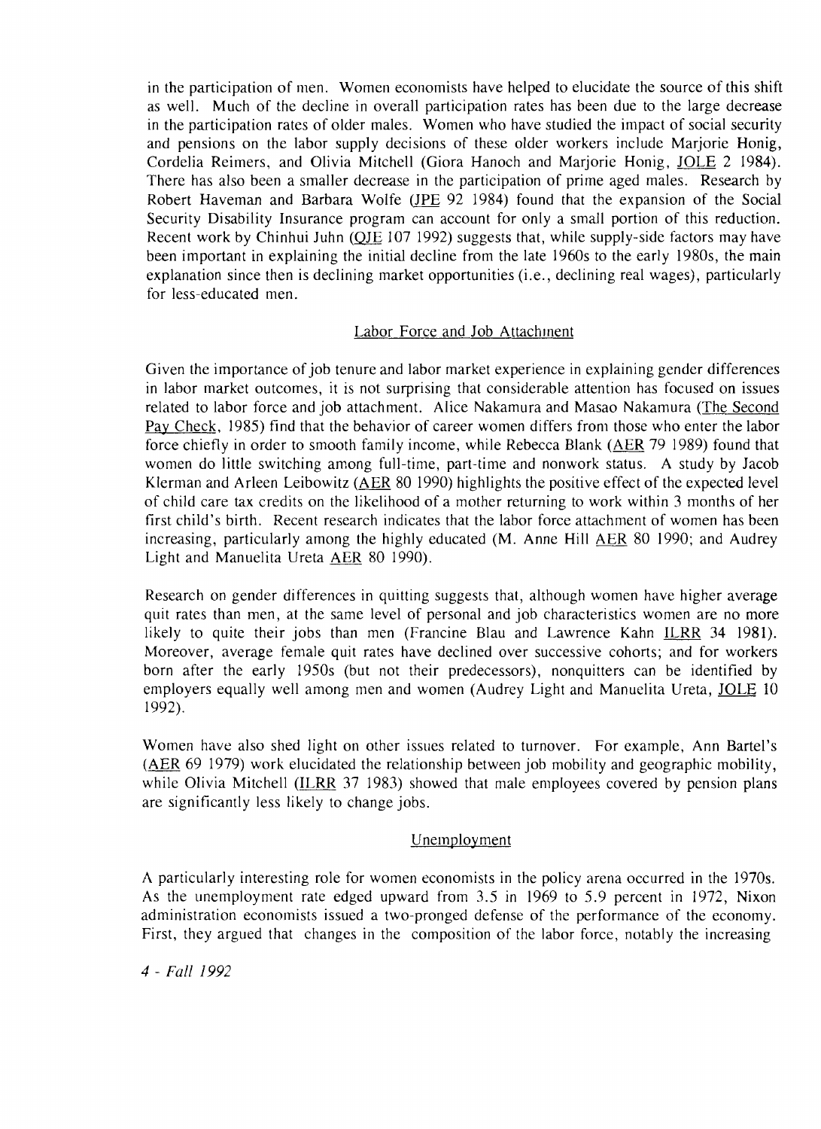in the participation of men. Women economists have helped to elucidate the source of this shift as well. Much of the decline in overall participation rates has been due to the large decrease in the participation rates of older males. Women who have studied the impact of social security and pensions on the labor supply decisions of these older workers include Marjorie Honig, Cordelia Reimers, and Olivia Mitchell (Giora Hanoch and Marjorie Honig, JOLE 2 1984). There has also been a smaller decrease in the participation of prime aged males. Research by Robert Haveman and Barbara Wolfe (JPE 92 1984) found that the expansion of the Social Security Disability Insurance program can account for only a small portion of this reduction. Recent work by Chinhui Juhn (OJE 107 1992) suggests that, while supply-side factors may have been important in explaining the initial decline from the late 1960s to the early 1980s, the main explanation since then is declining market opportunities (i.e., declining real wages), particularly for less-educated men.

#### Labor Force and Job Attachment

Given the importance of job tenure and labor market experience in explaining gender differences in labor market outcomes, it is not surprising that considerable attention has focused on issues related to labor force and job attachment. Alice Nakamura and Masao Nakamura (The Second Pav Check, 1985) find that the behavior of career women differs from those who enter the labor force chiefly in order to smooth family income, while Rebecca Blank (AER 79 1989) found that women do little switching anong full-time, part-time and nonwork status. A study by Jacob Klerman and Arleen Leibowitz (AER 80 1990) highlights the positive effect of the expected level of child care tax credits on the likelihood of a mother returning to work within 3 months of her first child's birth. Recent research indicates that the labor force attachment of women has been increasing, particularly among the highly educated (M. Anne Hill AER 80 1990; and Audrey Light and Manuelita Ureta AER 80 1990).

Research on gender differences in quitting suggests that, although women have higher average quit rates than men, at the same level of personal and job characteristics women are no more likely to quite their jobs than men (Francine Blau and Lawrence Kahn ILRR 34 1981). Moreover, average female quit rates have declined over successive cohorts; and for workers born after the early 1950s (but not their predecessors), nonquitters can be identified by employers equally well among men and women (Audrey Light and Manuelita Ureta, JOLE 10 1992).

Women have also shed light on other issues related to turnover. For example, Ann Bartel's (AER 69 1979) work elucidated the relationship between job mobility and geographic mobility, while Olivia Mitchell (ILRR 37 1983) showed that male employees covered by pension plans are significantly less likely to change jobs.

## Unemployment

A particularly interesting role for women economists in the policy arena occurred in the 1970s. As the imemployment rate edged upward from 3.5 in 1969 to 5.9 percent in 1972, Nixon administration economists issued a two-pronged defense of the performance of the economy. First, they argued that changes in the composition of the labor force, notably the increasing

4 - Fall 1992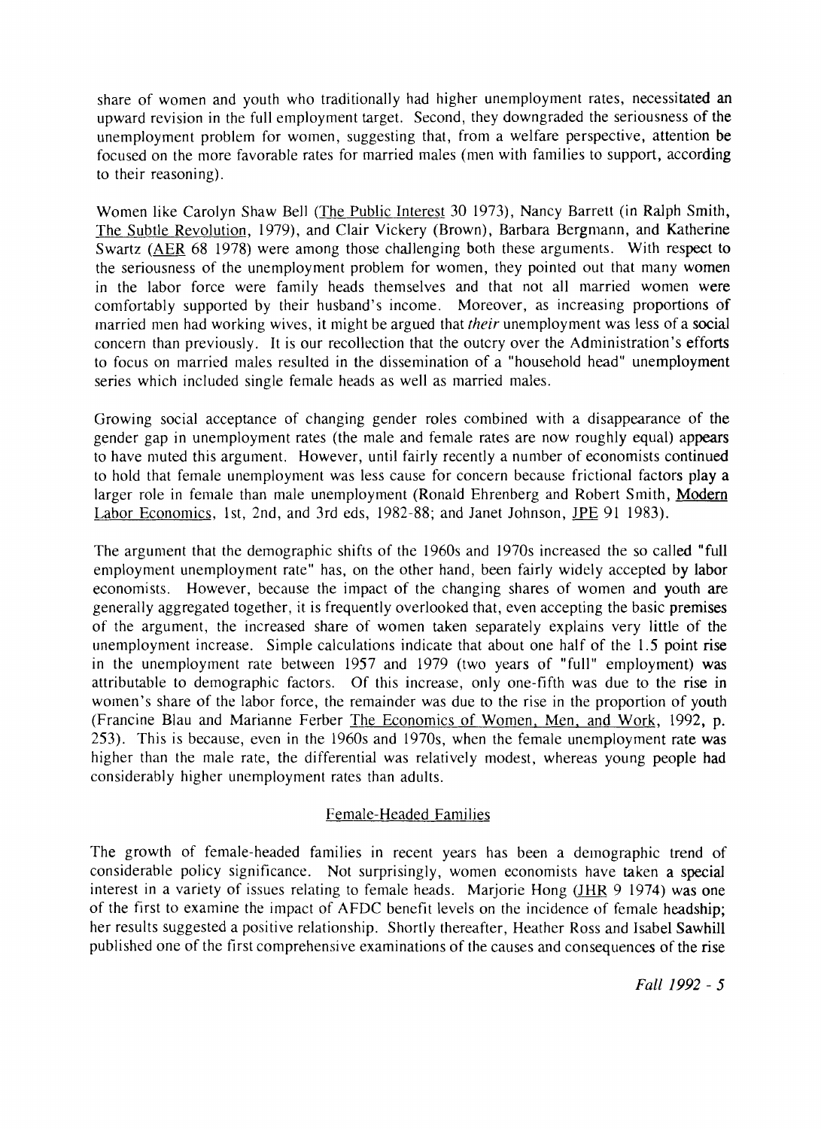share of women and youth who traditionally had higher unemployment rates, necessitated an upward revision in the full employment target. Second, they downgraded the seriousness of the unemployment problem for women, suggesting that, from a welfare perspective, attention be focused on the more favorable rates for married males (men with families to support, according to their reasoning).

Women like Carolyn Shaw Bell (The Public Interest 30 1973), Nancy Barrett (in Ralph Smith, The Subtle Revolution, 1979), and Clair Vickery (Brown), Barbara Bergmann, and Katherine Swartz (AER 68 1978) were among those challenging both these arguments. With respect to the seriousness of the unemployment problem for women, they pointed out that many women in the labor force were family heads themselves and that not all married women were comfortably supported by their husband's income. Moreover, as increasing proportions of married men had working wives, it might be argued that *their* unemployment was less of a social concern than previously. It is our recollection that the outcry over the Administration's efforts to focus on married males resulted in the dissemination of a "household head" unemployment series which included single female heads as well as married males.

Growing social acceptance of changing gender roles combined with a disappearance of the gender gap in unemployment rates (the male and female rates are now roughly equal) appears to have niuted this argument. However, until fairly recently a nuniber of economists continued to hold that female unemployment was less cause for concern because frictional factors play a larger role in female than male unemployment (Ronald Ehrenberg and Robert Smith, Modem Labor Economics, lst, 2nd, and 3rd eds, 1982-88; and Janet Johnson, JPE 91 1983).

The argument that the demographic shifts of the 1960s and 1970s increased the so called "full employment unemployment rate" has, on the other hand, been fairly widely accepted by labor economists. However, because the impact of the changing shares of women and youth are generally aggregated together, it is frequently overlooked that, even accepting the basic premises of the argument, the increased share of women taken separately explains very little of the unemployment increase. Simple calculations indicate that about one half of the 1.5 point rise in the unemployment rate between 1957 and 1979 (two years of "full" employment) was attributable to demographic factors. Of this increase, only one-fifth was due to the rise in women's share of the labor force, the remainder was due to the rise in the proportion of youth (Francine Blau and Marianne Ferber The Economics of Women. Men. and Work, 1992, p. 253). This is because, even in the 1960s and 1970s, when the female unemployment rate was higher than the male rate, the differential was relatively modest, whereas young people had considerably higher unemployment rates than adults.

#### Female-Headed Families

The growth of female-headed families in recent years has been a demographic trend of considerable policy significance. Not surprisingly, women economists have taken a special interest in a variety of issues relating to female heads. Marjorie Hong (JHR 9 1974) was one of the first to examine the impact of AFDC benefit levels on the incidence of female headship; her results suggested a positive relationship. Shortly thereafter, Heather Ross and Isabel Sawhill published one of the first comprehensive examinations of the causes and consequences of the rise

*Fall* 1992 - **5**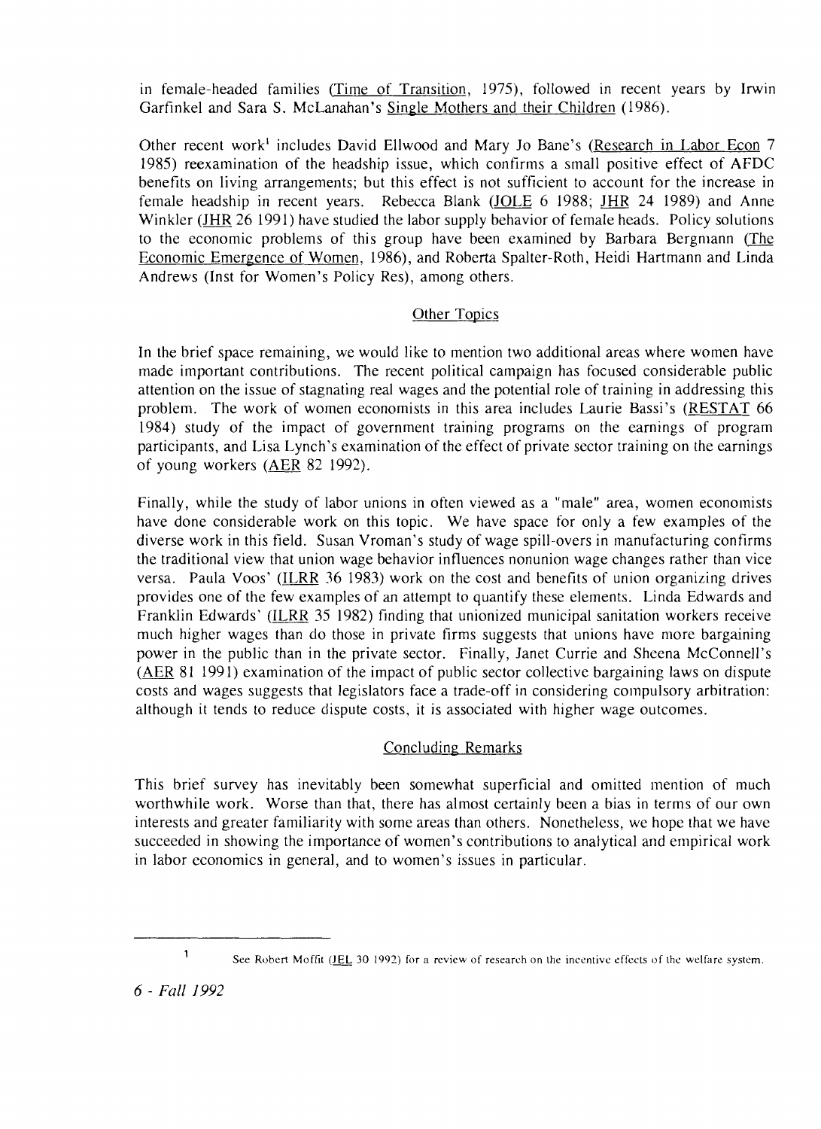in female-headed families (Time of Transition, 1975), followed in recent years by Irwin Garfinkel and Sara S. McLanahan's Single Mothers and their Children (1986).

Other recent work' includes David Ellwood and Mary Jo Bane's (Research in Labor Econ 7 1985) reexamination of the headship issue, which confirms a small positive effect of AFDC benefits on living arrangements; but this effect is not sufficient to account for the increase in female headship in recent years. Rebecca Blank (JOLE 6 1988; JHR 24 1989) and Anne Winkler (JHR 26 1991) have studied the labor supply behavior of female heads. Policy solutions to the economic problems of this group have been examined by Barbara Bergmann (The Economic Emergence of Women, 1986), and Roberta Spalter-Roth, Heidi Hartmann and Linda Andrews (Inst for Women's Policy Res), among others.

## Other Topics

In the brief space remaining, we would like to mention two additional areas where women have made important contributions. The recent political campaign has focused considerable public attention on the issue of stagnating real wages and the potential role of training in addressing this problem. The work of women economists in this area includes Laurie Bassi's (RESTAT 66 1984) study of the impact of government training programs on the earnings of program participants, and Lisa Lynch's examination of the effect of private sector training on the earnings 1984) study of the impact of governational study of the impact of governational study participants, and Lisa Lynch's exam of young workers (AER 82 1992).

Finally, while the study of labor unions in often viewed as a "male" area, women economists have done considerable work on this topic. We have space for only a few examples of the diverse work in this field. Susan Vroman's study of wage spill-overs in manufacturing confirms the traditional view that union wage behavior influences nonunion wage changes rather than vice versa. Paula Voos' (ILRR 36 1983) work on the cost and benefits of union organizing drives provides one of the few examples of an attempt to quantify these elements. Linda Edwards and Franklin Edwards' (ILRR 35 1982) finding that unionized municipal sanitation workers receive much higher wages than do those in private firms suggests that unions have more bargaining power in the public than in the private sector. Finally, Janet Currie and Sheena McConnell's **(m** 81 1991) examination of the impact of public sector collective bargaining laws on dispute costs and wages suggests that legislators face a trade-off in considering compulsory arbitration: although it tends to reduce dispute costs, it is associated with higher wage outcomes.

#### Concluding Remarks

This brief survey has inevitably been somewhat superficial and omitted mention of much worthwhile work. Worse than that, there has almost certainly been a bias in terms of our own interests and greater familiarity with some areas than others. Nonetheless, we hope that we have succeeded in showing the importance of women's contributions to analytical and empirical work in labor economics in general, and to women's issues in particular.

*6* - *Fall 1992* 

<sup>&</sup>lt;sup>1</sup> See Robert Moffit (JEL 30 1992) for a review of research on the incentive effects of the welfare system.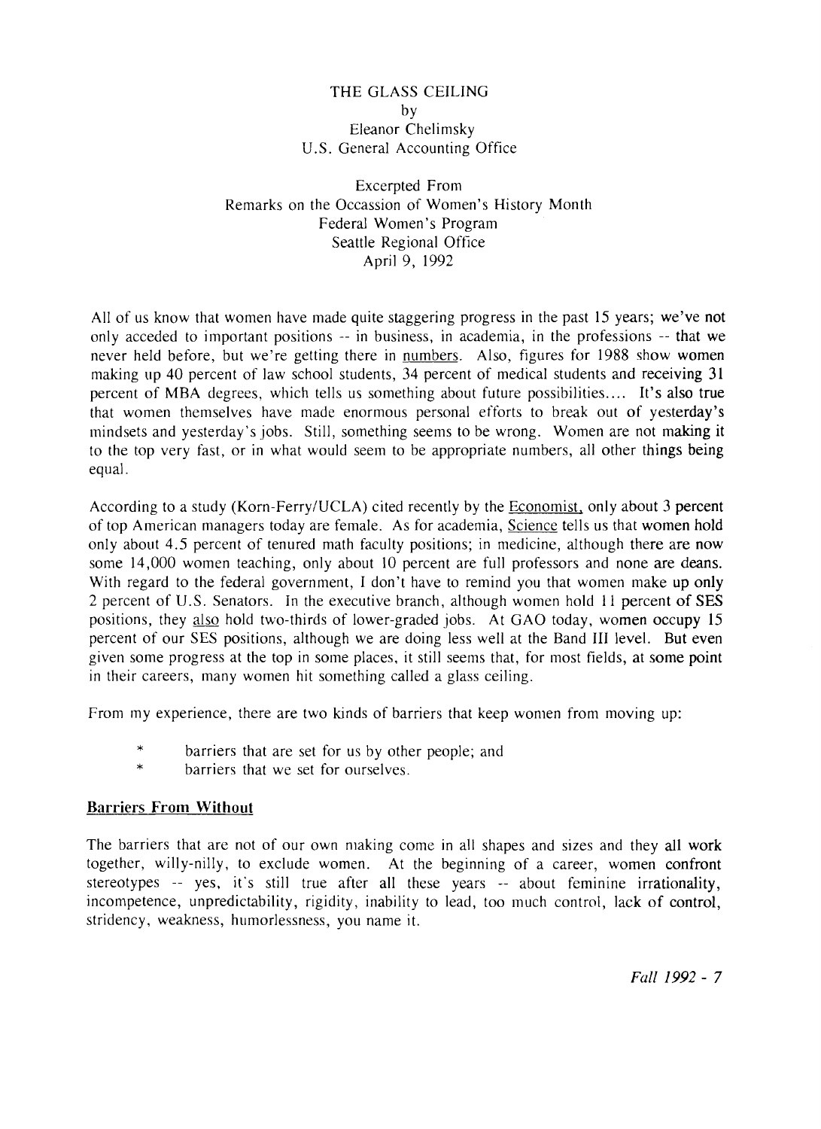### THE GLASS CEILING by Eleanor Chelimsky U.S. General Accounting Office

Excerpted From Remarks on the Occassion of Women's History Month Federal Women's Program Seattle Regional Office April 9, 1992

All of us know that women have made quite staggering progress in the past 15 years; we've not only acceded to important positions -- in business, in academia, in the professions -- that we never held before, but we're getting there in numbers. Also, figures for 1988 show women making up 40 percent of law school students, 34 percent of medical students and receiving 31 percent of MBA degrees, which tells us something about future possibilities .... It's also true that women themselves have made enormous personal efforts to break out of yesterday's inindsets and yesterday's jobs. Still, something seems to be wrong. Women are not making it to the top very fast, or in what would seem to be appropriate numbers, all other things being equal.

According to a study (Korn-Ferry/UCLA) cited recently by the Economist, only about 3 percent of top American managers today are female. As for academia, Science tells us that women hold only about 4.5 percent of tenured math faculty positions; in medicine, although there are now some 14,000 women teaching, only about 10 percent are full professors and none are deans. With regard to the federal government, I don't have to remind you that women make up only 2 percent of U.S. Senators. In the executive branch, although women hold 11 percent of SES positions, they also hold two-thirds of lower-graded jobs. At GAO today, women occupy 15 percent of our SES positions, although we are doing less well at the Band I11 level. But even given some progress at the top in some places, it still seems that, for most fields, at some point in their careers, many women hit something called a glass ceiling.

From my experience, there are two kinds of barriers that keep women from moving up:

- \* barriers that are set for us by other people; and \* barriers that we set for ourselves.
- 

#### **Barriers From Without**

The barriers that are not of our own making come in all shapes and sizes and they all work together, willy-nilly, to exclude women. At the beginning of a career, women confront stereotypes -- yes, it's still true after all these years -- about feminine irrationality, incompetence, unpredictability, rigidity, inability to lead, too much control, lack of control, stridency, weakness, humorlessness, you name it.

Fall 1992 - 7